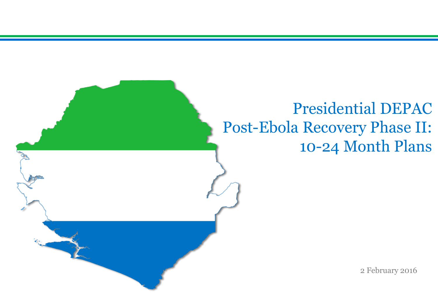# Presidential DEPAC Post-Ebola Recovery Phase II: 10-24 Month Plans

2 February 2016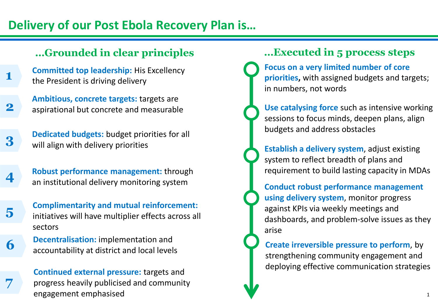## **Delivery of our Post Ebola Recovery Plan is…**

## **…Grounded in clear principles …Executed in 5 process steps**

- **Committed top leadership:** His Excellency the President is driving delivery **1**
- **Ambitious, concrete targets:** targets are **2** aspirational but concrete and measurable

**3** Dedicated budgets: budget priorities for all will align with delivery priorities

- **Robust performance management:** through an institutional delivery monitoring system **4**
- **Complimentarity and mutual reinforcement:**  initiatives will have multiplier effects across all sectors **5**

**6** Decentralisation: implementation and **6** accountability at district and local levels

**7**

**Continued external pressure:** targets and progress heavily publicised and community engagement emphasised

**Focus on a very limited number of core priorities,** with assigned budgets and targets; in numbers, not words

**Use catalysing force** such as intensive working sessions to focus minds, deepen plans, align budgets and address obstacles

**Establish a delivery system**, adjust existing system to reflect breadth of plans and requirement to build lasting capacity in MDAs

**Conduct robust performance management using delivery system**, monitor progress against KPIs via weekly meetings and dashboards, and problem-solve issues as they arise

**Create irreversible pressure to perform**, by strengthening community engagement and deploying effective communication strategies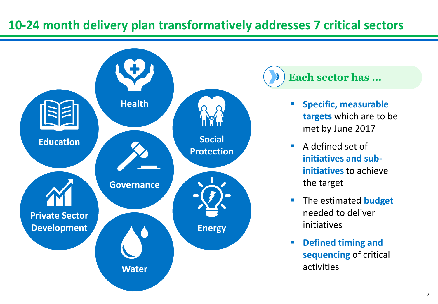## **10-24 month delivery plan transformatively addresses 7 critical sectors**



## **Each sector has …**

- **Specific, measurable targets** which are to be met by June 2017
- **A** defined set of **initiatives and subinitiatives** to achieve the target
- **The estimated budget** needed to deliver initiatives
- **Defined timing and sequencing** of critical activities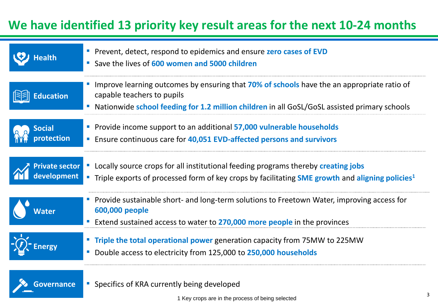## **We have identified 13 priority key result areas for the next 10-24 months**

| Health                               | Prevent, detect, respond to epidemics and ensure zero cases of EVD<br>Save the lives of 600 women and 5000 children                                                                                                            |
|--------------------------------------|--------------------------------------------------------------------------------------------------------------------------------------------------------------------------------------------------------------------------------|
| <b>Education</b>                     | Improve learning outcomes by ensuring that 70% of schools have the an appropriate ratio of<br>capable teachers to pupils<br>Nationwide school feeding for 1.2 million children in all GoSL/GoSL assisted primary schools<br>I. |
| <b>Social</b><br>protection          | Provide income support to an additional 57,000 vulnerable households<br><b>Ensure continuous care for 40,051 EVD-affected persons and survivors</b>                                                                            |
| <b>Private sector</b><br>development | Locally source crops for all institutional feeding programs thereby creating jobs<br>" Triple exports of processed form of key crops by facilitating <b>SME growth</b> and <b>aligning policies</b> <sup>1</sup>               |
| Water                                | Provide sustainable short- and long-term solutions to Freetown Water, improving access for<br>600,000 people<br>Extend sustained access to water to 270,000 more people in the provinces                                       |
|                                      | <b>Triple the total operational power</b> generation capacity from 75MW to 225MW<br>Double access to electricity from 125,000 to 250,000 households                                                                            |
| <b>Governance</b>                    | • Specifics of KRA currently being developed                                                                                                                                                                                   |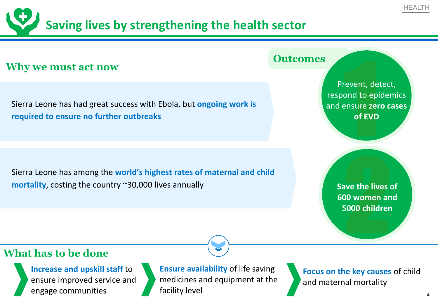# **Saving lives by strengthening the health sector**

## **Why we must act now**

Sierra Leone has had great success with Ebola, but **ongoing work is required to ensure no further outbreaks**

Sierra Leone has among the **world's highest rates of maternal and child mortality**, costing the country ~30,000 lives annually

#### **Outcomes**

Free the depth of EVD Prevent, detect, respond to epidemics and ensure **zero cases of EVD**

> ave the lives<br>20 women an<br>2000 children **Save the lives of 600 women and 5000 children**

### **What has to be done**

**Increase and upskill staff** to ensure improved service and engage communities

**Ensure availability** of life saving medicines and equipment at the facility level

**Focus on the key causes** of child and maternal mortality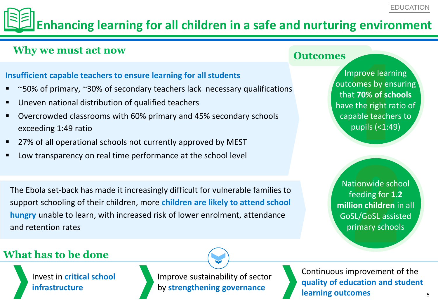# **Enhancing learning for all children in a safe and nurturing environment**

## **Why we must act now**

#### **Insufficient capable teachers to ensure learning for all students**

- ~50% of primary, ~30% of secondary teachers lack necessary qualifications
- Uneven national distribution of qualified teachers
- Overcrowded classrooms with 60% primary and 45% secondary schools exceeding 1:49 ratio
- 27% of all operational schools not currently approved by MEST
- Low transparency on real time performance at the school level

The Ebola set-back has made it increasingly difficult for vulnerable families to support schooling of their children, more **children are likely to attend school hungry** unable to learn, with increased risk of lower enrolment, attendance and retention rates

#### **Outcomes**

prove lear<br>
omes by e<br>
t 70% of so<br>
the right<br>
able teach<br>
pupils (<1: Improve learning outcomes by ensuring that **70% of schools**  have the right ratio of capable teachers to pupils (<1:49)

tionwide schc<br>eeding for 1.2<br>on children in<br>SL/GoSL assist<br>rimary school Nationwide school feeding for **1.2 million children** in all GoSL/GoSL assisted primary schools

## **What has to be done**

Invest in **critical school infrastructure**

Improve sustainability of sector by **strengthening governance**

Continuous improvement of the **quality of education and student learning outcomes**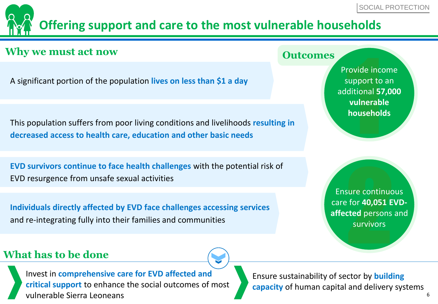## **Offering support and care to the most vulnerable households**

## **Why we must act now**

A significant portion of the population **lives on less than \$1 a day** 

This population suffers from poor living conditions and livelihoods **resulting in decreased access to health care, education and other basic needs**

**EVD survivors continue to face health challenges** with the potential risk of EVD resurgence from unsafe sexual activities

**Individuals directly affected by EVD face challenges accessing services**  and re-integrating fully into their families and communities

**Outcomes**

rovide inco<br>
support to<br>
ditional 57<br>
vulnerab<br>
househol Provide income support to an additional **57,000 vulnerable households**

sure continuo<br>
e for 40,051 E<br>
cted persons<br>
survivors Ensure continuous care for **40,051 EVDaffected** persons and survivors

## **What has to be done**

Invest in **comprehensive care for EVD affected and critical support** to enhance the social outcomes of most vulnerable Sierra Leoneans

Ensure sustainability of sector by **building capacity** of human capital and delivery systems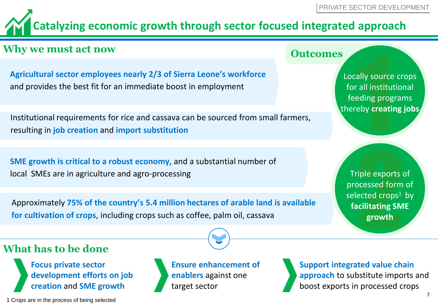# **Catalyzing economic growth through sector focused integrated approach**

## **Why we must act now**

**Agricultural sector employees nearly 2/3 of Sierra Leone's workforce**  and provides the best fit for an immediate boost in employment

Institutional requirements for rice and cassava can be sourced from small farmers, resulting in **job creation** and **import substitution**

**SME growth is critical to a robust economy**, and a substantial number of local SMEs are in agriculture and agro-processing

Approximately **75% of the country's 5.4 million hectares of arable land is available for cultivation of crops**, including crops such as coffee, palm oil, cassava

**Focus private sector development efforts on job creation** and **SME growth**

1 Crops are in the process of being selected

**What has to be done**



**Support integrated value chain approach** to substitute imports and boost exports in processed crops

### **Outcomes**

ally source<br>all institureding progress Locally source crops for all institutional feeding programs thereby **creating jobs**

Fiple exports<br>Pressed form<br>Pressed crops<sup>1</sup><br>Pressent and the set of the set of the set of the set of the set of the set of the set of the set of the set o<br>Prowth Triple exports of processed form of selected  $crops<sup>1</sup>$  by **facilitating SME growth**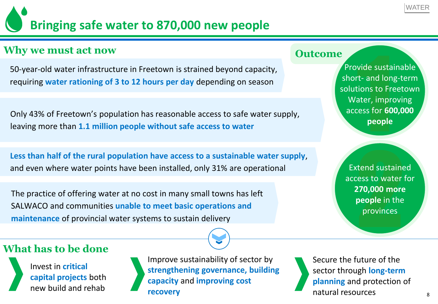# **Bringing safe water to 870,000 new people**

## **Why we must act now**

50-year-old water infrastructure in Freetown is strained beyond capacity, requiring **water rationing of 3 to 12 hours per day** depending on season

Only 43% of Freetown's population has reasonable access to safe water supply, leaving more than **1.1 million people without safe access to water**

**Less than half of the rural population have access to a sustainable water supply**, and even where water points have been installed, only 31% are operational

The practice of offering water at no cost in many small towns has left SALWACO and communities **unable to meet basic operations and maintenance** of provincial water systems to sustain delivery

#### **Outcome**

vide susta<br>t- and lon<br>ions to Frater, impress for 60 Provide sustainable short- and long-term solutions to Freetown Water, improving access for **600,000 people**

tend sustaine<br>
ess to water<br> **270,000 more**<br> **people** in the<br>
provinces Extend sustained access to water for **270,000 more people** in the provinces

## **What has to be done**

Invest in **critical capital projects** both new build and rehab



Improve sustainability of sector by **strengthening governance, building capacity** and **improving cost recovery**

Secure the future of the sector through **long-term planning** and protection of natural resources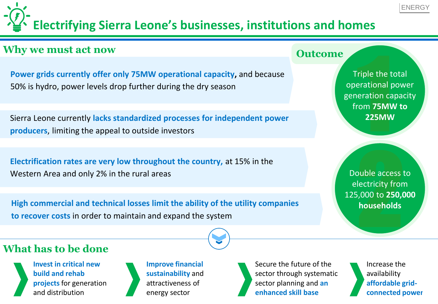# **Electrifying Sierra Leone's businesses, institutions and homes**

## **Why we must act now**

**Power grids currently offer only 75MW operational capacity,** and because 50% is hydro, power levels drop further during the dry season

Sierra Leone currently **lacks standardized processes for independent power producers**, limiting the appeal to outside investors

**Electrification rates are very low throughout the country,** at 15% in the Western Area and only 2% in the rural areas

**High commercial and technical losses limit the ability of the utility companies to recover costs** in order to maintain and expand the system

#### **Outcome**

Fiple the trational processes Triple the total operational power generation capacity from **75MW to 225MW** 

buble access the direct state of the state of the state of the state of the state of the state of the state of the state of the state of the state of the state of the state of the state of the state of the state of the sta Double access to electricity from 125,000 to **250,000 households**

## **What has to be done**

**Invest in critical new build and rehab projects** for generation and distribution



**Improve financial sustainability** and attractiveness of energy sector



Increase the availability **affordable gridconnected power**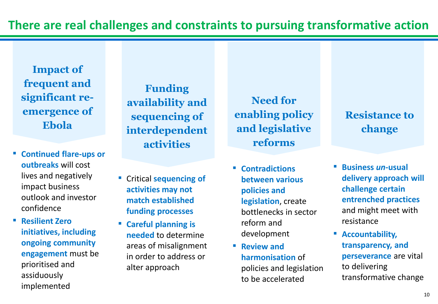**Impact of frequent and significant reemergence of Ebola**

▪ **Continued flare-ups or outbreaks** will cost lives and negatively impact business outlook and investor confidence

▪ **Resilient Zero initiatives, including ongoing community engagement** must be prioritised and assiduously implemented

**Funding availability and sequencing of interdependent activities**

- **Critical sequencing of activities may not match established funding processes**
- **Careful planning is needed** to determine areas of misalignment in order to address or alter approach

**Need for enabling policy and legislative reforms**

- **Contradictions between various policies and legislation**, create bottlenecks in sector reform and development
- **Review and harmonisation** of policies and legislation to be accelerated

## **Resistance to change**

- **Business** *un-***usual delivery approach will challenge certain entrenched practices**  and might meet with resistance
- **Accountability, transparency, and perseverance** are vital to delivering transformative change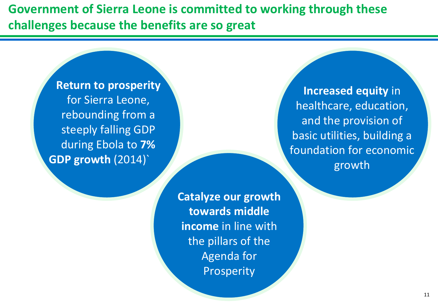**Government of Sierra Leone is committed to working through these challenges because the benefits are so great**

> **Return to prosperity**  for Sierra Leone, rebounding from a steeply falling GDP during Ebola to **7% GDP growth** (2014)`

> > **Catalyze our growth towards middle income** in line with the pillars of the Agenda for Prosperity

**Increased equity** in healthcare, education, and the provision of basic utilities, building a foundation for economic growth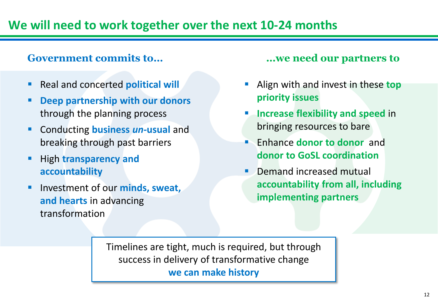### **Government commits to… …we need our partners to**

- Real and concerted **political will**
- **Deep partnership with our donors** through the planning process
- Conducting **business** *un-***usual** and breaking through past barriers
- High **transparency and accountability**
- Investment of our **minds, sweat, and hearts** in advancing transformation

- Align with and invest in these **top priority issues**
- **Increase flexibility and speed** in bringing resources to bare
- Enhance **donor to donor** and **donor to GoSL coordination**
- Demand increased mutual **accountability from all, including implementing partners**

Timelines are tight, much is required, but through success in delivery of transformative change **we can make history**